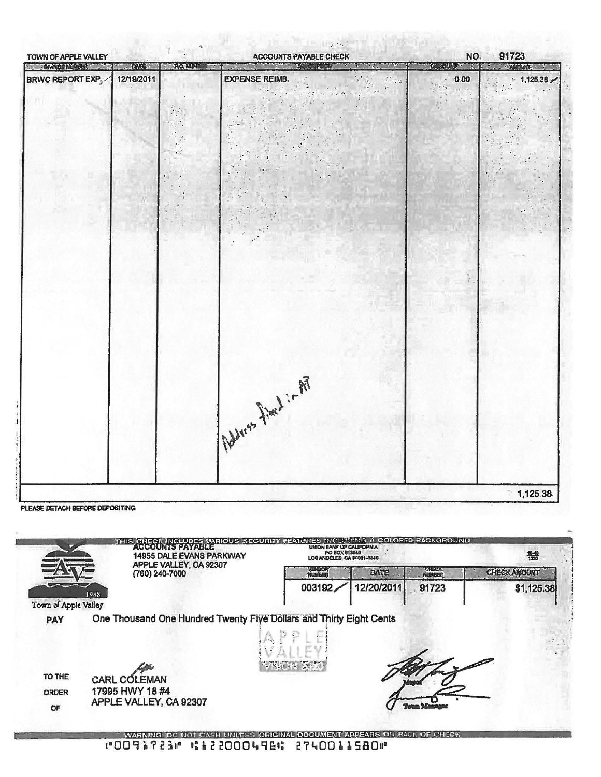| TOWN OF APPLE VALLEY                      |                           | $\mathcal{A}_{\mathbf{L}}$<br>$\mathbb{R}^3$ | $\mathcal{L}_{\rm{max}}$ , $\mathcal{L}_{\rm{max}}$<br><b>ACCOUNTS PAYABLE CHECK</b> | NO.                                                                                                                       | 91723                                                               |
|-------------------------------------------|---------------------------|----------------------------------------------|--------------------------------------------------------------------------------------|---------------------------------------------------------------------------------------------------------------------------|---------------------------------------------------------------------|
| TWON LOADS CONT<br><b>BRWC REPORT EXP</b> | <b>CALL</b><br>12/19/2011 | <b>EXAMPLE</b>                               | Bert Hell To to The<br><b>EXPENSE REIMB.</b><br>SE REIMB.                            | <b>OLANUM THE</b><br>0.00<br>$\sigma$<br>$\mathcal{O}(\mathbf{A})$ . We have<br>$\mathbb{Z}_{\geq 0}$ ).<br>$\frac{1}{2}$ | <b>FILLENTING P</b><br>$= 1,125.38$<br>pega<br>$\frac{1}{\sqrt{2}}$ |
| PLEASE DETACH BEFORE DEPOSITING           |                           |                                              | Address fined : - AP                                                                 |                                                                                                                           | 1,125.38                                                            |

|                      | <b>14955 DALE EVANS PARKWAY</b>                                     | THIS CHECK INCLUDES WARIOUS SECURITY FRATURES INCLUANTIE A COLORED BACKGROUND<br>PO BOX 513840<br>LOS ANGELES CA 90051-3940 |            |              | 機                   |  |
|----------------------|---------------------------------------------------------------------|-----------------------------------------------------------------------------------------------------------------------------|------------|--------------|---------------------|--|
|                      | APPLE VALLEY, CA 92307<br>(760) 240-7000                            | VLNDOR<br>NUMBER                                                                                                            | DATE       | <b>ANECK</b> | <b>CHECK AMOUNT</b> |  |
|                      | 1988                                                                | 003192                                                                                                                      | 12/20/2011 | 91723        | \$1,125.38          |  |
| Town of Apple Valley |                                                                     |                                                                                                                             |            |              |                     |  |
|                      |                                                                     |                                                                                                                             |            |              |                     |  |
| <b>PAY</b>           | One Thousand One Hundred Twenty Five Dollars and Thirty Eight Cents |                                                                                                                             |            |              |                     |  |
|                      |                                                                     |                                                                                                                             |            |              |                     |  |
|                      |                                                                     |                                                                                                                             |            |              |                     |  |
|                      |                                                                     | <b>CONTRACTORY</b>                                                                                                          |            |              |                     |  |
| TO THE               | CARL COLEMAN                                                        |                                                                                                                             |            |              |                     |  |
| <b>ORDER</b>         | 17995 HWY 18 #4<br>APPLE VALLEY, CA 92307                           |                                                                                                                             |            |              |                     |  |

g

置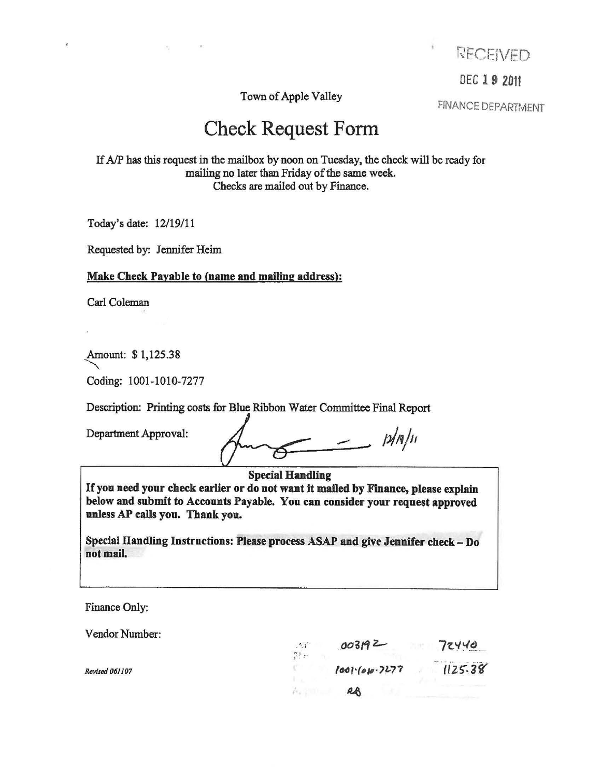

DEC 19 2011

Town of Apple Valley

FINANCE DEPARTMENT

# Check Request Form

If *AIP* has this request in the mailbox by noon on Tuesday, the check will be ready for mailing no later than Friday of the same week. Checks are mailed out by Finance.

Today's date: 12/19/11

Requested by: Jennifer Heim

## Make Check Payable to (name and mailing address):

Carl Coleman

Amount: \$ 1,125.38

Coding: 1001-1010-7277

Description: Printing costs for Blue Ribbon Water Committee Final Report

Department Approval:

 $\frac{p}{n}$ 

Special Handling

If you need your check earlier or do not want it mailed by Finance, please explain below and submit to Accounts Payable. You can consider your request approved unless AP calls you. Thank you.

Special Handling Instructions: Please process ASAP and give Jennifer check - Do not mail.

Finance Only:

*Revised 061107* 

Vendor Number:

| 2.51<br>$\mathbb{C}^{\mathbb{N}}$ $\ell^{\mathbb{N}}$ | 003192            | 72440   |
|-------------------------------------------------------|-------------------|---------|
|                                                       | $1001-(010-7277)$ | 1125.38 |
|                                                       | RA                |         |